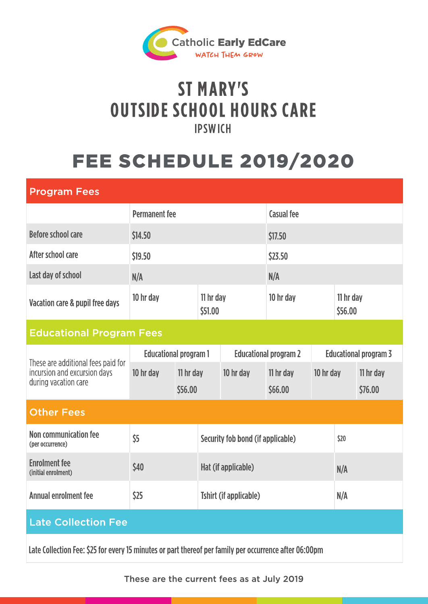

## ST MARY'S IPSWICH **OUTSIDE SCHOOL HOURS CARE**

# **FEE SCHEDULE 2019/2020**

| <b>Program Fees</b>                                                                                    |                                   |  |                                   |                              |                      |                              |                      |                      |
|--------------------------------------------------------------------------------------------------------|-----------------------------------|--|-----------------------------------|------------------------------|----------------------|------------------------------|----------------------|----------------------|
|                                                                                                        | <b>Permanent</b> fee              |  |                                   |                              | <b>Casual fee</b>    |                              |                      |                      |
| Before school care                                                                                     | \$14.50                           |  |                                   |                              | \$17.50              |                              |                      |                      |
| After school care                                                                                      | \$19.50                           |  |                                   |                              | \$23.50              |                              |                      |                      |
| Last day of school                                                                                     | N/A                               |  |                                   |                              | N/A                  |                              |                      |                      |
| Vacation care & pupil free days                                                                        | 10 hr day                         |  | 11 hr day<br>\$51.00              |                              | 10 hr day            |                              | 11 hr day<br>\$56.00 |                      |
| <b>Educational Program Fees</b>                                                                        |                                   |  |                                   |                              |                      |                              |                      |                      |
| These are additional fees paid for<br>incursion and excursion days<br>during vacation care             | <b>Educational program 1</b>      |  |                                   | <b>Educational program 2</b> |                      | <b>Educational program 3</b> |                      |                      |
|                                                                                                        | 10 hr day<br>11 hr day<br>\$56.00 |  |                                   | 10 hr day                    | 11 hr day<br>\$66.00 | 10 hr day                    |                      | 11 hr day<br>\$76.00 |
| <b>Other Fees</b>                                                                                      |                                   |  |                                   |                              |                      |                              |                      |                      |
| <b>Non communication fee</b><br>(per occurrence)                                                       | \$5                               |  | Security fob bond (if applicable) |                              |                      |                              | \$20                 |                      |
| <b>Enrolment</b> fee<br>(initial enrolment)                                                            | \$40                              |  | Hat (if applicable)               |                              |                      |                              | N/A                  |                      |
| <b>Annual enrolment fee</b>                                                                            | \$25                              |  | <b>Tshirt (if applicable)</b>     |                              |                      |                              | N/A                  |                      |
| <b>Late Collection Fee</b>                                                                             |                                   |  |                                   |                              |                      |                              |                      |                      |
| Late Collection Fee: \$25 for every 15 minutes or part thereof per family per occurrence after 06:00pm |                                   |  |                                   |                              |                      |                              |                      |                      |

These are the current fees as at July 2019